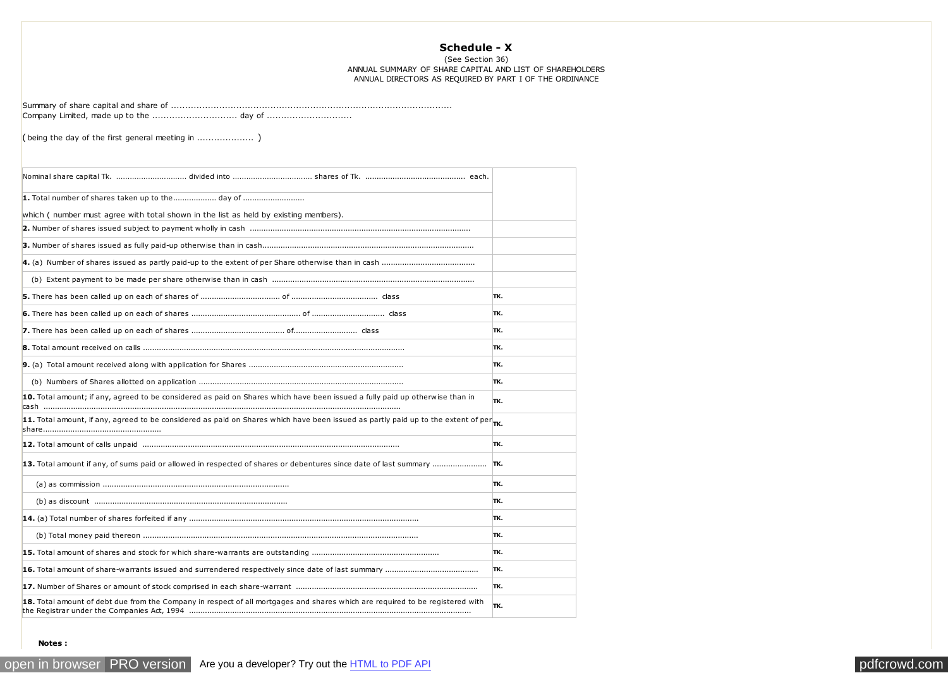## **Schedule - X**

(See Section 36) ANNUAL SUMMARY OF SHARE CAPITAL AND LIST OF SHAREHOLDERS ANNUAL DIRECTORS AS REQUIRED BY PART I OF THE ORDINANCE

Summary of share capital and share of ................................................................................................... Company Limited, made up to the .............................. day of ..............................

( being the day of the first general meeting in .................... )

| 1. Total number of shares taken up to the day of                                                                                               |     |
|------------------------------------------------------------------------------------------------------------------------------------------------|-----|
| which (number must agree with total shown in the list as held by existing members).                                                            |     |
|                                                                                                                                                |     |
|                                                                                                                                                |     |
|                                                                                                                                                |     |
|                                                                                                                                                |     |
|                                                                                                                                                | TK. |
|                                                                                                                                                | TK. |
|                                                                                                                                                | TK. |
|                                                                                                                                                | TK. |
|                                                                                                                                                | TK. |
|                                                                                                                                                | TK. |
| 10. Total amount; if any, agreed to be considered as paid on Shares which have been issued a fully paid up otherwise than in                   | TK. |
| 11. Total amount, if any, agreed to be considered as paid on Shares which have been issued as partly paid up to the extent of per $_{\sf TK.}$ |     |
|                                                                                                                                                | TK. |
| 13. Total amount if any, of sums paid or allowed in respected of shares or debentures since date of last summary                               | TK. |
|                                                                                                                                                | TK. |
|                                                                                                                                                | TK. |
|                                                                                                                                                | TK. |
|                                                                                                                                                | TK. |
|                                                                                                                                                | TK. |
|                                                                                                                                                | TK. |
|                                                                                                                                                | TK. |
| 18. Total amount of debt due from the Company in respect of all mortgages and shares which are required to be registered with                  | TK. |

 **Notes :**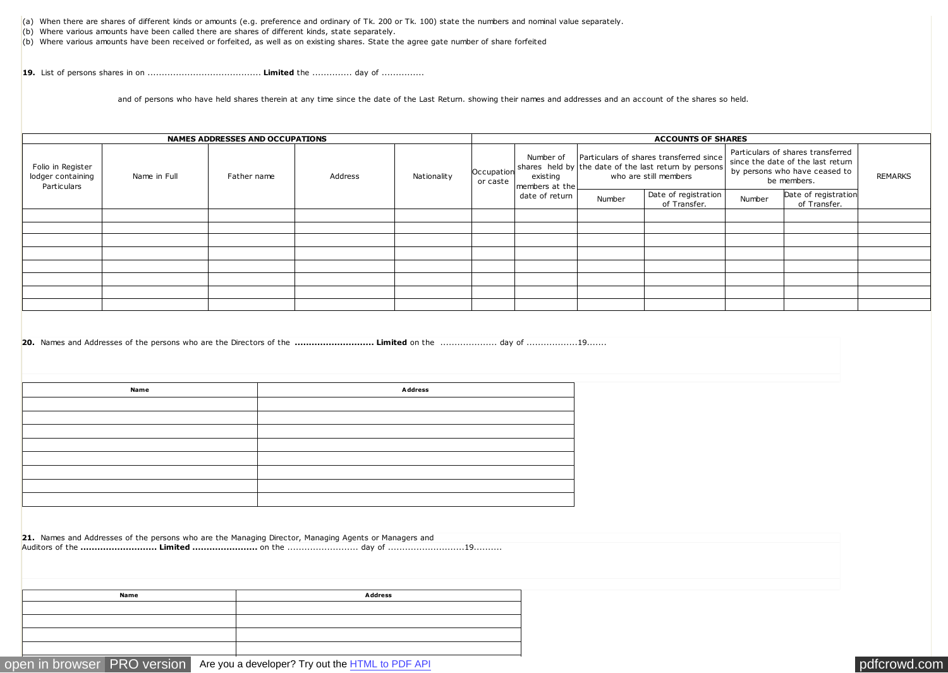(a) When there are shares of different kinds or amounts (e.g. preference and ordinary of Tk. 200 or Tk. 100) state the numbers and nominal value separately.

(b) Where various amounts have been called there are shares of different kinds, state separately.

(b) Where various amounts have been received or forfeited, as well as on existing shares. State the agree gate number of share forfeited

**19.** List of persons shares in on ........................................ **Limited** the .............. day of ...............

and of persons who have held shares therein at any time since the date of the Last Return. showing their names and addresses and an account of the shares so held.

| <b>NAMES ADDRESSES AND OCCUPATIONS</b>                |                             |  |         | <b>ACCOUNTS OF SHARES</b> |                        |                                                           |                                                                                                                           |                                      |                                                                                                                        |                                      |                |
|-------------------------------------------------------|-----------------------------|--|---------|---------------------------|------------------------|-----------------------------------------------------------|---------------------------------------------------------------------------------------------------------------------------|--------------------------------------|------------------------------------------------------------------------------------------------------------------------|--------------------------------------|----------------|
| Folio in Register<br>lodger containing<br>Particulars | Name in Full<br>Father name |  | Address | Nationality               | Occupation<br>or caste | Number of<br>existing<br>members at the<br>date of return | Particulars of shares transferred since<br>shares held by the date of the last return by persons<br>who are still members |                                      | Particulars of shares transferred<br>since the date of the last return<br>by persons who have ceased to<br>be members. |                                      | <b>REMARKS</b> |
|                                                       |                             |  |         |                           |                        |                                                           | Number                                                                                                                    | Date of registration<br>of Transfer. | Number                                                                                                                 | Date of registration<br>of Transfer. |                |
|                                                       |                             |  |         |                           |                        |                                                           |                                                                                                                           |                                      |                                                                                                                        |                                      |                |
|                                                       |                             |  |         |                           |                        |                                                           |                                                                                                                           |                                      |                                                                                                                        |                                      |                |
|                                                       |                             |  |         |                           |                        |                                                           |                                                                                                                           |                                      |                                                                                                                        |                                      |                |
|                                                       |                             |  |         |                           |                        |                                                           |                                                                                                                           |                                      |                                                                                                                        |                                      |                |
|                                                       |                             |  |         |                           |                        |                                                           |                                                                                                                           |                                      |                                                                                                                        |                                      |                |
|                                                       |                             |  |         |                           |                        |                                                           |                                                                                                                           |                                      |                                                                                                                        |                                      |                |
|                                                       |                             |  |         |                           |                        |                                                           |                                                                                                                           |                                      |                                                                                                                        |                                      |                |
|                                                       |                             |  |         |                           |                        |                                                           |                                                                                                                           |                                      |                                                                                                                        |                                      |                |

**20.** Names and Addresses of the persons who are the Directors of the **............................ Limited** on the .................... day of ..................19.......

**Name Address**

**21.** Names and Addresses of the persons who are the Managing Director, Managing Agents or Managers and Auditors of the **........................... Limited .......................** on the ......................... day of ...........................19..........

| Name | Address |
|------|---------|
|      |         |
|      |         |
|      |         |
|      |         |